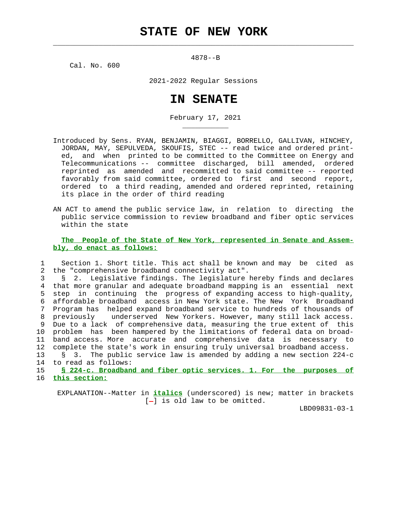$\mathcal{L}_\text{max} = \frac{1}{2} \sum_{i=1}^{n} \frac{1}{2} \sum_{i=1}^{n} \frac{1}{2} \sum_{i=1}^{n} \frac{1}{2} \sum_{i=1}^{n} \frac{1}{2} \sum_{i=1}^{n} \frac{1}{2} \sum_{i=1}^{n} \frac{1}{2} \sum_{i=1}^{n} \frac{1}{2} \sum_{i=1}^{n} \frac{1}{2} \sum_{i=1}^{n} \frac{1}{2} \sum_{i=1}^{n} \frac{1}{2} \sum_{i=1}^{n} \frac{1}{2} \sum_{i=1}^{n} \frac{1$ 

4878--B

Cal. No. 600

\_\_\_\_\_\_\_\_\_\_\_

2021-2022 Regular Sessions

## **IN SENATE**

February 17, 2021

- Introduced by Sens. RYAN, BENJAMIN, BIAGGI, BORRELLO, GALLIVAN, HINCHEY, JORDAN, MAY, SEPULVEDA, SKOUFIS, STEC -- read twice and ordered print ed, and when printed to be committed to the Committee on Energy and Telecommunications -- committee discharged, bill amended, ordered reprinted as amended and recommitted to said committee -- reported favorably from said committee, ordered to first and second report, ordered to a third reading, amended and ordered reprinted, retaining its place in the order of third reading
- AN ACT to amend the public service law, in relation to directing the public service commission to review broadband and fiber optic services within the state

 **The People of the State of New York, represented in Senate and Assem bly, do enact as follows:**

 1 Section 1. Short title. This act shall be known and may be cited as 2 the "comprehensive broadband connectivity act".

 3 § 2. Legislative findings. The legislature hereby finds and declares 4 that more granular and adequate broadband mapping is an essential next 5 step in continuing the progress of expanding access to high-quality, 6 affordable broadband access in New York state. The New York Broadband 7 Program has helped expand broadband service to hundreds of thousands of 8 previously underserved New Yorkers. However, many still lack access. 9 Due to a lack of comprehensive data, measuring the true extent of this 10 problem has been hampered by the limitations of federal data on broad- 11 band access. More accurate and comprehensive data is necessary to 12 complete the state's work in ensuring truly universal broadband access. 13 § 3. The public service law is amended by adding a new section 224-c 14 to read as follows:

 15 **§ 224-c. Broadband and fiber optic services. 1. For the purposes of** 16 **this section:**

 EXPLANATION--Matter in **italics** (underscored) is new; matter in brackets  $[-]$  is old law to be omitted.

LBD09831-03-1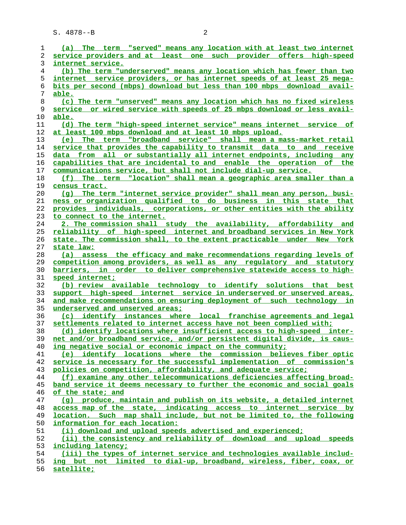| 1        | (a) The term "served" means any location with at least two internet                                                          |
|----------|------------------------------------------------------------------------------------------------------------------------------|
| 2        | service providers and at least one such provider offers high-speed                                                           |
| 3        | internet service.                                                                                                            |
| 4        | (b) The term "underserved" means any location which has fewer than two                                                       |
| 5        | internet service providers, or has internet speeds of at least 25 mega-                                                      |
| 6        | bits per second (mbps) download but less than 100 mbps download avail-                                                       |
| 7        | able.                                                                                                                        |
| 8        | (c) The term "unserved" means any location which has no fixed wireless                                                       |
| 9        | service or wired service with speeds of 25 mbps download or less avail-                                                      |
| 10       | able.                                                                                                                        |
| 11       | (d) The term "high-speed internet service" means internet service of                                                         |
| 12       | at least 100 mbps download and at least 10 mbps upload.                                                                      |
| 13       | The term "broadband service" shall mean a mass-market retail<br>(e)                                                          |
| 14       | service that provides the capability to transmit data to and receive                                                         |
| 15       | data from all or substantially all internet endpoints, including any                                                         |
| 16       | capabilities that are incidental to and enable the operation of the                                                          |
| 17       | communications service, but shall not include dial-up service.                                                               |
| 18       | (f) The term "location" shall mean a geographic area smaller than a                                                          |
| 19       | census tract.                                                                                                                |
| 20       | (q) The term "internet service provider" shall mean any person, busi-                                                        |
| 21       | ness or organization qualified to do business in this state that                                                             |
| 22       | provides individuals, corporations, or other entities with the ability                                                       |
| 23       | to connect to the internet.                                                                                                  |
| 24       | 2. The commission shall study the availability, affordability and                                                            |
| 25       | reliability of high-speed internet and broadband services in New York                                                        |
| 26       | state. The commission shall, to the extent practicable under New York                                                        |
| 27       | state law:                                                                                                                   |
| 28       | (a) assess the efficacy and make recommendations regarding levels of                                                         |
| 29       | competition among providers, as well as any regulatory and statutory                                                         |
| 30       | barriers, in order to deliver comprehensive statewide access to high-                                                        |
| 31       | speed internet;                                                                                                              |
| 32       | (b) review available technology to identify solutions that best                                                              |
| 33       | support high-speed internet service in underserved or unserved areas,                                                        |
| 34       | and make recommendations on ensuring deployment of such technology in                                                        |
| 35       | underserved and unserved areas;                                                                                              |
| 36       | (c) identify instances where local franchise agreements and legal                                                            |
| 37       | settlements related to internet access have not been complied with;                                                          |
| 38       | (d) identify locations where insufficient access to high-speed inter-                                                        |
| 39       | net and/or broadband service, and/or persistent digital divide, is caus-                                                     |
| 40       | ing negative social or economic impact on the community;<br>(e) identify locations where the commission believes fiber optic |
| 41<br>42 | service is necessary for the successful implementation of commission's                                                       |
| 43       | policies on competition, affordability, and adequate service;                                                                |
| 44       | (f) examine any other telecommunications deficiencies affecting broad-                                                       |
| 45       | band service it deems necessary to further the economic and social goals                                                     |
| 46       | of the state; and                                                                                                            |
| 47       | (q) produce, maintain and publish on its website, a detailed internet                                                        |
| 48       | access map of the state, indicating access to internet service by                                                            |
| 49       | location. Such map shall include, but not be limited to, the following                                                       |
| 50       | information for each location:                                                                                               |
| 51       | (i) download and upload speeds advertised and experienced;                                                                   |
| 52       | (ii) the consistency and reliability of download and upload speeds                                                           |
| 53       | including latency;                                                                                                           |
| 54       | (iii) the types of internet service and technologies available includ-                                                       |
| 55       | ing but not limited to dial-up, broadband, wireless, fiber, coax, or                                                         |
|          |                                                                                                                              |
| 56       | satellite;                                                                                                                   |